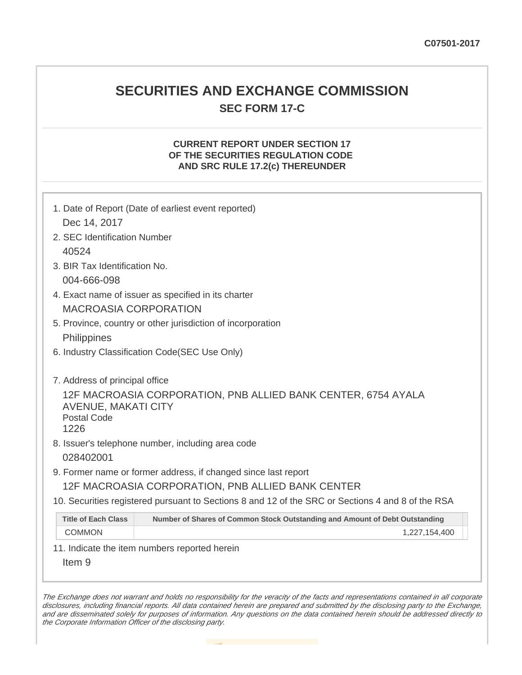## **SECURITIES AND EXCHANGE COMMISSION SEC FORM 17-C**

### **CURRENT REPORT UNDER SECTION 17 OF THE SECURITIES REGULATION CODE AND SRC RULE 17.2(c) THEREUNDER**

| Dec 14, 2017<br>2. SEC Identification Number<br>40524<br>3. BIR Tax Identification No.<br>004-666-098<br><b>MACROASIA CORPORATION</b> | 1. Date of Report (Date of earliest event reported)<br>4. Exact name of issuer as specified in its charter<br>5. Province, country or other jurisdiction of incorporation |  |
|---------------------------------------------------------------------------------------------------------------------------------------|---------------------------------------------------------------------------------------------------------------------------------------------------------------------------|--|
| Philippines                                                                                                                           |                                                                                                                                                                           |  |
| 6. Industry Classification Code(SEC Use Only)                                                                                         |                                                                                                                                                                           |  |
|                                                                                                                                       |                                                                                                                                                                           |  |
| 7. Address of principal office                                                                                                        |                                                                                                                                                                           |  |
| 12F MACROASIA CORPORATION, PNB ALLIED BANK CENTER, 6754 AYALA<br>AVENUE, MAKATI CITY<br><b>Postal Code</b><br>1226                    |                                                                                                                                                                           |  |
| 8. Issuer's telephone number, including area code                                                                                     |                                                                                                                                                                           |  |
| 028402001                                                                                                                             |                                                                                                                                                                           |  |
| 9. Former name or former address, if changed since last report                                                                        |                                                                                                                                                                           |  |
| 12F MACROASIA CORPORATION, PNB ALLIED BANK CENTER                                                                                     |                                                                                                                                                                           |  |
|                                                                                                                                       | 10. Securities registered pursuant to Sections 8 and 12 of the SRC or Sections 4 and 8 of the RSA                                                                         |  |
| <b>Title of Each Class</b>                                                                                                            | Number of Shares of Common Stock Outstanding and Amount of Debt Outstanding                                                                                               |  |
| COMMON                                                                                                                                | 1,227,154,400                                                                                                                                                             |  |
| 11. Indicate the item numbers reported herein                                                                                         |                                                                                                                                                                           |  |
| Item <sub>9</sub>                                                                                                                     |                                                                                                                                                                           |  |
|                                                                                                                                       |                                                                                                                                                                           |  |

The Exchange does not warrant and holds no responsibility for the veracity of the facts and representations contained in all corporate disclosures, including financial reports. All data contained herein are prepared and submitted by the disclosing party to the Exchange, and are disseminated solely for purposes of information. Any questions on the data contained herein should be addressed directly to the Corporate Information Officer of the disclosing party.